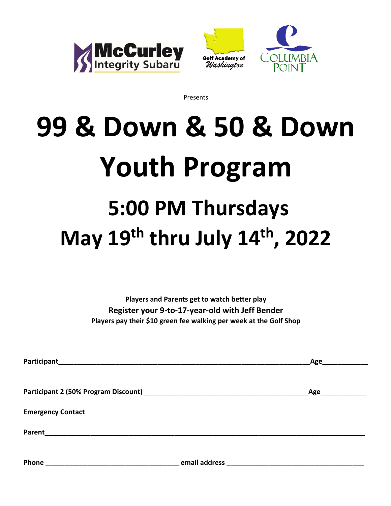





Presents

# **99 & Down & 50 & Down Youth Program 5:00 PM Thursdays May 19th thru July 14th, 2022**

**Players and Parents get to watch better play Register your 9-to-17-year-old with Jeff Bender Players pay their \$10 green fee walking per week at the Golf Shop**

|                          |               | Age |
|--------------------------|---------------|-----|
|                          |               |     |
|                          |               | Age |
| <b>Emergency Contact</b> |               |     |
| Parent                   |               |     |
| Phone                    | email address |     |